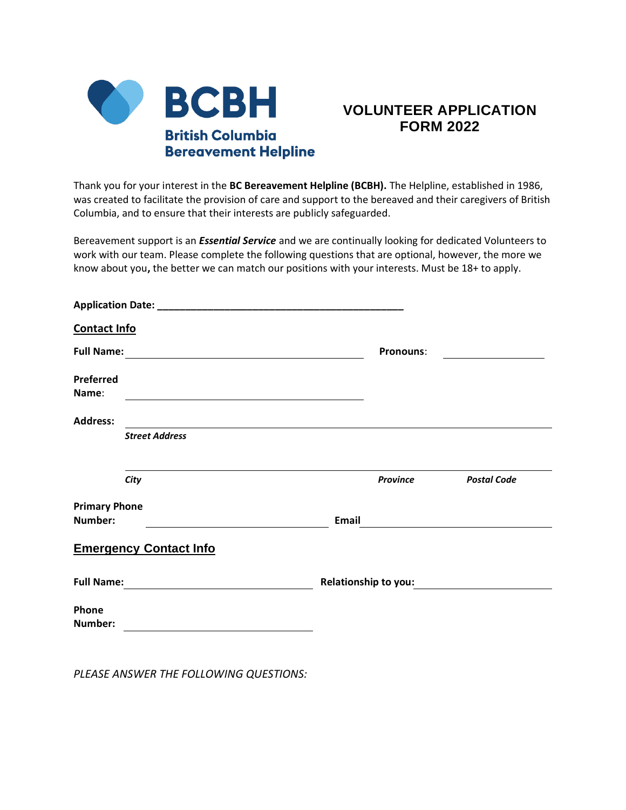

## **VOLUNTEER APPLICATION FORM 2022**

Thank you for your interest in the **BC Bereavement Helpline (BCBH).** The Helpline, established in 1986, was created to facilitate the provision of care and support to the bereaved and their caregivers of British Columbia, and to ensure that their interests are publicly safeguarded.

Bereavement support is an *Essential Service* and we are continually looking for dedicated Volunteers to work with our team. Please complete the following questions that are optional, however, the more we know about you**,** the better we can match our positions with your interests. Must be 18+ to apply.

| <b>Contact Info</b>  |                                          |       |                      |                    |
|----------------------|------------------------------------------|-------|----------------------|--------------------|
|                      |                                          |       | <b>Pronouns:</b>     |                    |
| Preferred<br>Name:   |                                          |       |                      |                    |
| <b>Address:</b>      |                                          |       |                      |                    |
|                      | <b>Street Address</b>                    |       |                      |                    |
|                      | City                                     |       | <b>Province</b>      | <b>Postal Code</b> |
| <b>Primary Phone</b> |                                          |       |                      |                    |
| Number:              |                                          | Email |                      |                    |
|                      | <b>Emergency Contact Info</b>            |       |                      |                    |
| <b>Full Name:</b>    | <u> 1989 - Andrea State Barbara, pre</u> |       | Relationship to you: |                    |
| Phone<br>Number:     |                                          |       |                      |                    |

*PLEASE ANSWER THE FOLLOWING QUESTIONS:*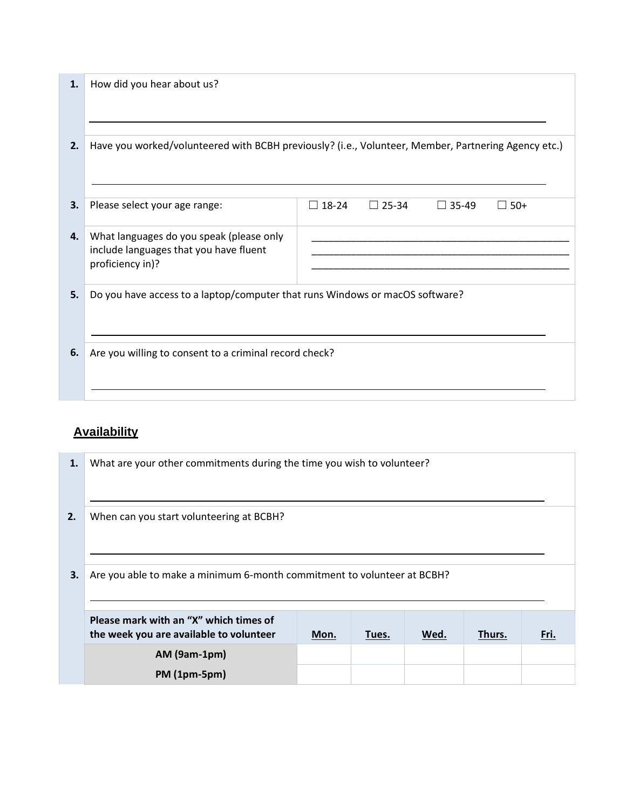| Please select your age range:            | $\Box$ 18-24                           | $\Box$ 25-34                                           | $\Box$ 35-49 | $\Box$ 50+                                                                                                                                                                          |
|------------------------------------------|----------------------------------------|--------------------------------------------------------|--------------|-------------------------------------------------------------------------------------------------------------------------------------------------------------------------------------|
| What languages do you speak (please only |                                        |                                                        |              |                                                                                                                                                                                     |
| proficiency in)?                         |                                        |                                                        |              |                                                                                                                                                                                     |
|                                          |                                        |                                                        |              |                                                                                                                                                                                     |
|                                          |                                        |                                                        |              |                                                                                                                                                                                     |
|                                          |                                        |                                                        |              |                                                                                                                                                                                     |
|                                          |                                        |                                                        |              |                                                                                                                                                                                     |
|                                          | include languages that you have fluent | Are you willing to consent to a criminal record check? |              | Have you worked/volunteered with BCBH previously? (i.e., Volunteer, Member, Partnering Agency etc.)<br>Do you have access to a laptop/computer that runs Windows or macOS software? |

## **Availability**

| 1. | What are your other commitments during the time you wish to volunteer?            |      |       |      |        |      |
|----|-----------------------------------------------------------------------------------|------|-------|------|--------|------|
| 2. | When can you start volunteering at BCBH?                                          |      |       |      |        |      |
| 3. | Are you able to make a minimum 6-month commitment to volunteer at BCBH?           |      |       |      |        |      |
|    | Please mark with an "X" which times of<br>the week you are available to volunteer | Mon. | Tues. | Wed. | Thurs. | Fri. |
|    | <b>AM (9am-1pm)</b>                                                               |      |       |      |        |      |
|    | <b>PM</b> (1pm-5pm)                                                               |      |       |      |        |      |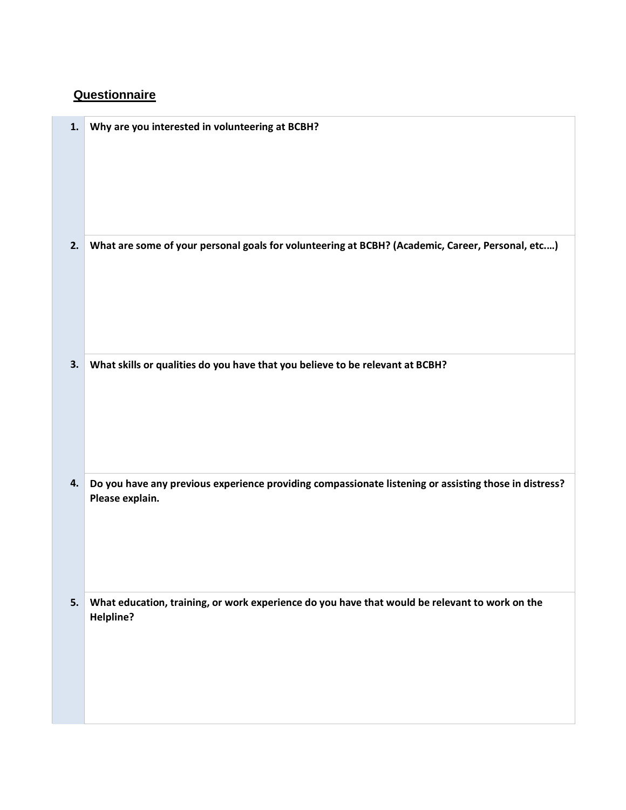## **Questionnaire**

| 1. | Why are you interested in volunteering at BCBH?                                                       |
|----|-------------------------------------------------------------------------------------------------------|
|    |                                                                                                       |
|    |                                                                                                       |
|    |                                                                                                       |
|    |                                                                                                       |
|    |                                                                                                       |
|    |                                                                                                       |
| 2. | What are some of your personal goals for volunteering at BCBH? (Academic, Career, Personal, etc)      |
|    |                                                                                                       |
|    |                                                                                                       |
|    |                                                                                                       |
|    |                                                                                                       |
|    |                                                                                                       |
|    |                                                                                                       |
| 3. | What skills or qualities do you have that you believe to be relevant at BCBH?                         |
|    |                                                                                                       |
|    |                                                                                                       |
|    |                                                                                                       |
|    |                                                                                                       |
|    |                                                                                                       |
| 4. | Do you have any previous experience providing compassionate listening or assisting those in distress? |
|    | Please explain.                                                                                       |
|    |                                                                                                       |
|    |                                                                                                       |
|    |                                                                                                       |
|    |                                                                                                       |
|    |                                                                                                       |
| 5. | What education, training, or work experience do you have that would be relevant to work on the        |
|    | Helpline?                                                                                             |
|    |                                                                                                       |
|    |                                                                                                       |
|    |                                                                                                       |
|    |                                                                                                       |
|    |                                                                                                       |
|    |                                                                                                       |